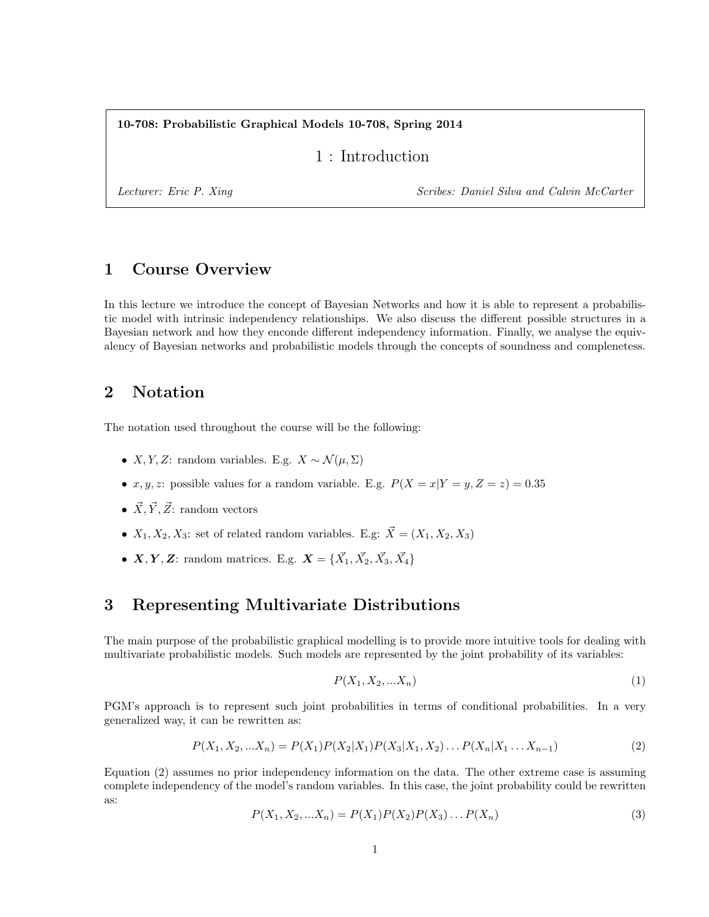10-708: Probabilistic Graphical Models 10-708, Spring 2014

1 : Introduction

Lecturer: Eric P. Xing Scribes: Daniel Silva and Calvin McCarter

# 1 Course Overview

In this lecture we introduce the concept of Bayesian Networks and how it is able to represent a probabilistic model with intrinsic independency relationships. We also discuss the different possible structures in a Bayesian network and how they enconde different independency information. Finally, we analyse the equivalency of Bayesian networks and probabilistic models through the concepts of soundness and complenetess.

### 2 Notation

The notation used throughout the course will be the following:

- X, Y, Z: random variables. E.g.  $X \sim \mathcal{N}(\mu, \Sigma)$
- x, y, z: possible values for a random variable. E.g.  $P(X = x|Y = y, Z = z) = 0.35$
- $\vec{X}, \vec{Y}, \vec{Z}$ : random vectors
- $X_1, X_2, X_3$ : set of related random variables. E.g:  $\vec{X} = (X_1, X_2, X_3)$
- $X, Y, Z$ : random matrices. E.g.  $X = \{\vec{X}_1, \vec{X}_2, \vec{X}_3, \vec{X}_4\}$

## 3 Representing Multivariate Distributions

The main purpose of the probabilistic graphical modelling is to provide more intuitive tools for dealing with multivariate probabilistic models. Such models are represented by the joint probability of its variables:

$$
P(X_1, X_2, \ldots X_n) \tag{1}
$$

PGM's approach is to represent such joint probabilities in terms of conditional probabilities. In a very generalized way, it can be rewritten as:

$$
P(X_1, X_2, ... X_n) = P(X_1)P(X_2|X_1)P(X_3|X_1, X_2)...P(X_n|X_1...X_{n-1})
$$
\n(2)

Equation (2) assumes no prior independency information on the data. The other extreme case is assuming complete independency of the model's random variables. In this case, the joint probability could be rewritten as:

$$
P(X_1, X_2, ... X_n) = P(X_1)P(X_2)P(X_3)...P(X_n)
$$
\n(3)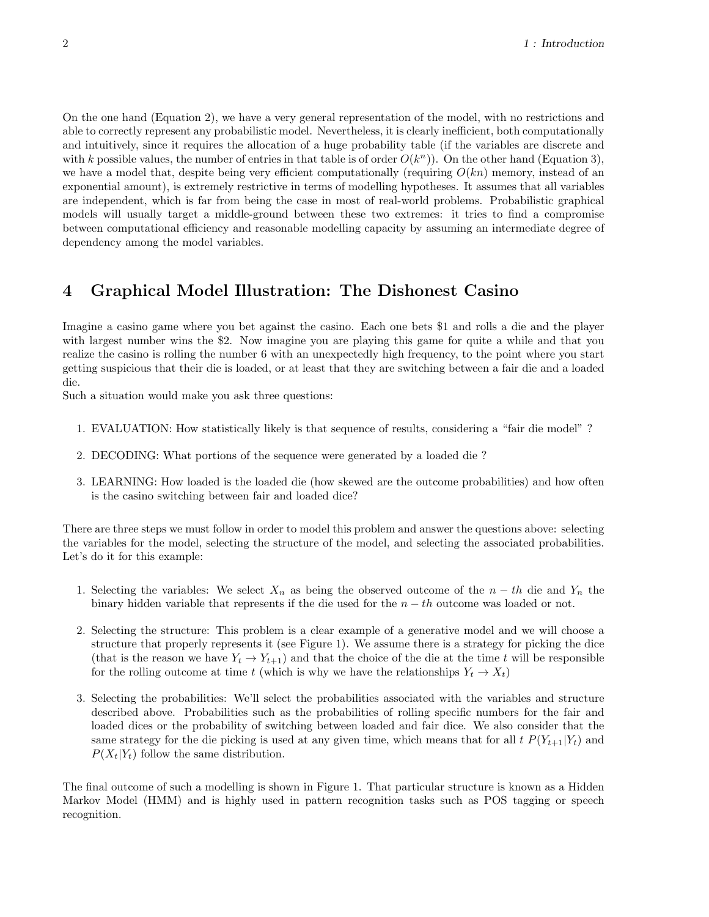On the one hand (Equation 2), we have a very general representation of the model, with no restrictions and able to correctly represent any probabilistic model. Nevertheless, it is clearly inefficient, both computationally and intuitively, since it requires the allocation of a huge probability table (if the variables are discrete and with k possible values, the number of entries in that table is of order  $O(k^n)$ ). On the other hand (Equation 3), we have a model that, despite being very efficient computationally (requiring  $O(kn)$  memory, instead of an exponential amount), is extremely restrictive in terms of modelling hypotheses. It assumes that all variables are independent, which is far from being the case in most of real-world problems. Probabilistic graphical models will usually target a middle-ground between these two extremes: it tries to find a compromise between computational efficiency and reasonable modelling capacity by assuming an intermediate degree of dependency among the model variables.

# 4 Graphical Model Illustration: The Dishonest Casino

Imagine a casino game where you bet against the casino. Each one bets \$1 and rolls a die and the player with largest number wins the \$2. Now imagine you are playing this game for quite a while and that you realize the casino is rolling the number 6 with an unexpectedly high frequency, to the point where you start getting suspicious that their die is loaded, or at least that they are switching between a fair die and a loaded die.

Such a situation would make you ask three questions:

- 1. EVALUATION: How statistically likely is that sequence of results, considering a "fair die model" ?
- 2. DECODING: What portions of the sequence were generated by a loaded die ?
- 3. LEARNING: How loaded is the loaded die (how skewed are the outcome probabilities) and how often is the casino switching between fair and loaded dice?

There are three steps we must follow in order to model this problem and answer the questions above: selecting the variables for the model, selecting the structure of the model, and selecting the associated probabilities. Let's do it for this example:

- 1. Selecting the variables: We select  $X_n$  as being the observed outcome of the  $n-th$  die and  $Y_n$  the binary hidden variable that represents if the die used for the  $n - th$  outcome was loaded or not.
- 2. Selecting the structure: This problem is a clear example of a generative model and we will choose a structure that properly represents it (see Figure 1). We assume there is a strategy for picking the dice (that is the reason we have  $Y_t \to Y_{t+1}$ ) and that the choice of the die at the time t will be responsible for the rolling outcome at time t (which is why we have the relationships  $Y_t \to X_t$ )
- 3. Selecting the probabilities: We'll select the probabilities associated with the variables and structure described above. Probabilities such as the probabilities of rolling specific numbers for the fair and loaded dices or the probability of switching between loaded and fair dice. We also consider that the same strategy for the die picking is used at any given time, which means that for all  $t P(Y_{t+1}|Y_t)$  and  $P(X_t|Y_t)$  follow the same distribution.

The final outcome of such a modelling is shown in Figure 1. That particular structure is known as a Hidden Markov Model (HMM) and is highly used in pattern recognition tasks such as POS tagging or speech recognition.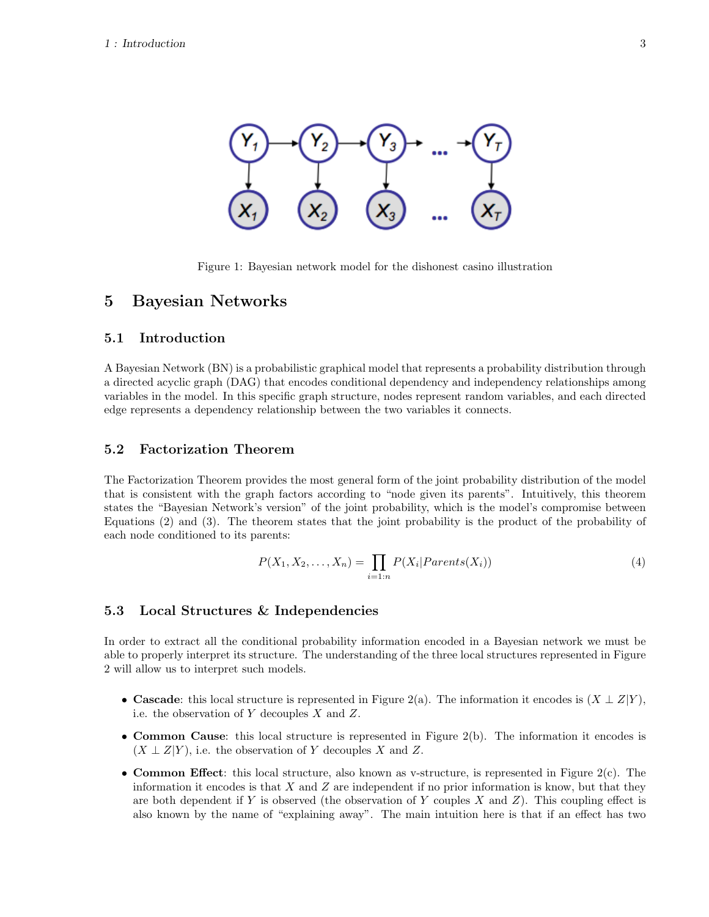

Figure 1: Bayesian network model for the dishonest casino illustration

### 5 Bayesian Networks

### 5.1 Introduction

A Bayesian Network (BN) is a probabilistic graphical model that represents a probability distribution through a directed acyclic graph (DAG) that encodes conditional dependency and independency relationships among variables in the model. In this specific graph structure, nodes represent random variables, and each directed edge represents a dependency relationship between the two variables it connects.

#### 5.2 Factorization Theorem

The Factorization Theorem provides the most general form of the joint probability distribution of the model that is consistent with the graph factors according to "node given its parents". Intuitively, this theorem states the "Bayesian Network's version" of the joint probability, which is the model's compromise between Equations (2) and (3). The theorem states that the joint probability is the product of the probability of each node conditioned to its parents:

$$
P(X_1, X_2, \dots, X_n) = \prod_{i=1:n} P(X_i | Parents(X_i))
$$
\n<sup>(4)</sup>

#### 5.3 Local Structures & Independencies

In order to extract all the conditional probability information encoded in a Bayesian network we must be able to properly interpret its structure. The understanding of the three local structures represented in Figure 2 will allow us to interpret such models.

- Cascade: this local structure is represented in Figure 2(a). The information it encodes is  $(X \perp Z|Y)$ , i.e. the observation of  $Y$  decouples  $X$  and  $Z$ .
- Common Cause: this local structure is represented in Figure 2(b). The information it encodes is  $(X \perp Z|Y)$ , i.e. the observation of Y decouples X and Z.
- Common Effect: this local structure, also known as v-structure, is represented in Figure  $2(c)$ . The information it encodes is that  $X$  and  $Z$  are independent if no prior information is know, but that they are both dependent if Y is observed (the observation of Y couples X and Z). This coupling effect is also known by the name of "explaining away". The main intuition here is that if an effect has two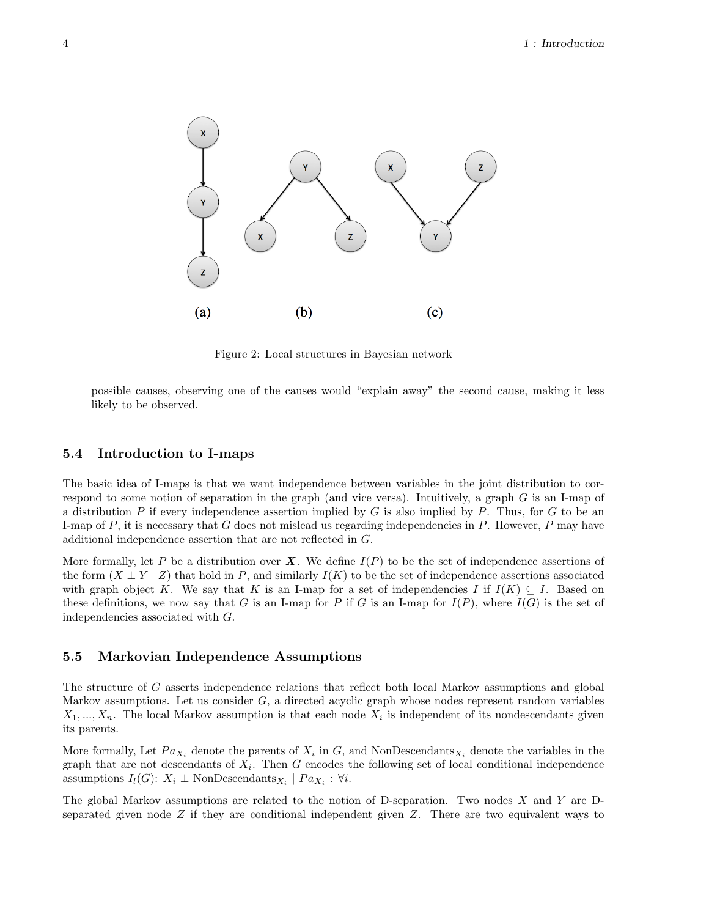

Figure 2: Local structures in Bayesian network

possible causes, observing one of the causes would "explain away" the second cause, making it less likely to be observed.

#### 5.4 Introduction to I-maps

The basic idea of I-maps is that we want independence between variables in the joint distribution to correspond to some notion of separation in the graph (and vice versa). Intuitively, a graph  $G$  is an I-map of a distribution P if every independence assertion implied by  $G$  is also implied by P. Thus, for  $G$  to be an I-map of  $P$ , it is necessary that  $G$  does not mislead us regarding independencies in  $P$ . However,  $P$  may have additional independence assertion that are not reflected in G.

More formally, let P be a distribution over  $\boldsymbol{X}$ . We define  $I(P)$  to be the set of independence assertions of the form  $(X \perp Y | Z)$  that hold in P, and similarly  $I(K)$  to be the set of independence assertions associated with graph object K. We say that K is an I-map for a set of independencies I if  $I(K) \subseteq I$ . Based on these definitions, we now say that G is an I-map for P if G is an I-map for  $I(P)$ , where  $I(G)$  is the set of independencies associated with G.

#### 5.5 Markovian Independence Assumptions

The structure of G asserts independence relations that reflect both local Markov assumptions and global Markov assumptions. Let us consider  $G$ , a directed acyclic graph whose nodes represent random variables  $X_1, ..., X_n$ . The local Markov assumption is that each node  $X_i$  is independent of its nondescendants given its parents.

More formally, Let  $Pa_{X_i}$  denote the parents of  $X_i$  in G, and NonDescendants<sub> $X_i$ </sub> denote the variables in the graph that are not descendants of  $X_i$ . Then G encodes the following set of local conditional independence assumptions  $I_l(G)$ :  $X_i \perp$  NonDescendants<sub> $X_i$ </sub> |  $Pa_{X_i}$  :  $\forall i$ .

The global Markov assumptions are related to the notion of D-separation. Two nodes  $X$  and  $Y$  are Dseparated given node  $Z$  if they are conditional independent given  $Z$ . There are two equivalent ways to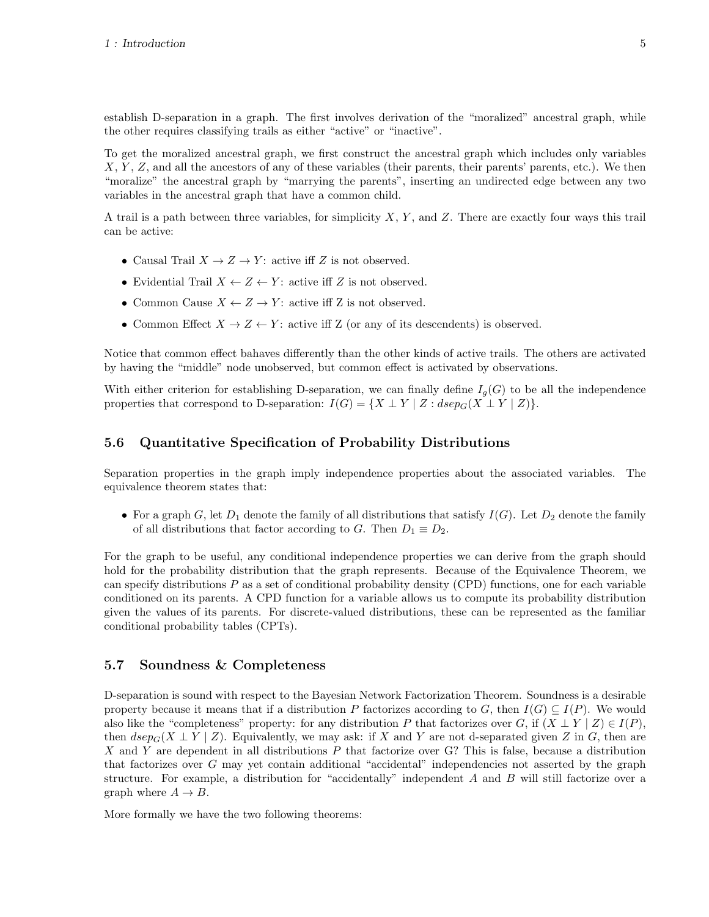establish D-separation in a graph. The first involves derivation of the "moralized" ancestral graph, while the other requires classifying trails as either "active" or "inactive".

To get the moralized ancestral graph, we first construct the ancestral graph which includes only variables  $X, Y, Z$ , and all the ancestors of any of these variables (their parents, their parents' parents, etc.). We then "moralize" the ancestral graph by "marrying the parents", inserting an undirected edge between any two variables in the ancestral graph that have a common child.

A trail is a path between three variables, for simplicity  $X, Y$ , and  $Z$ . There are exactly four ways this trail can be active:

- Causal Trail  $X \to Z \to Y$ : active iff Z is not observed.
- Evidential Trail  $X \leftarrow Z \leftarrow Y$ : active iff Z is not observed.
- Common Cause  $X \leftarrow Z \rightarrow Y$ : active iff Z is not observed.
- Common Effect  $X \to Z \leftarrow Y$ : active iff Z (or any of its descendents) is observed.

Notice that common effect bahaves differently than the other kinds of active trails. The others are activated by having the "middle" node unobserved, but common effect is activated by observations.

With either criterion for establishing D-separation, we can finally define  $I_q(G)$  to be all the independence properties that correspond to D-separation:  $I(G) = \{X \perp Y \mid Z : \text{dsep}_G(X \perp Y \mid Z)\}.$ 

#### 5.6 Quantitative Specification of Probability Distributions

Separation properties in the graph imply independence properties about the associated variables. The equivalence theorem states that:

• For a graph G, let  $D_1$  denote the family of all distributions that satisfy  $I(G)$ . Let  $D_2$  denote the family of all distributions that factor according to G. Then  $D_1 \equiv D_2$ .

For the graph to be useful, any conditional independence properties we can derive from the graph should hold for the probability distribution that the graph represents. Because of the Equivalence Theorem, we can specify distributions P as a set of conditional probability density (CPD) functions, one for each variable conditioned on its parents. A CPD function for a variable allows us to compute its probability distribution given the values of its parents. For discrete-valued distributions, these can be represented as the familiar conditional probability tables (CPTs).

#### 5.7 Soundness & Completeness

D-separation is sound with respect to the Bayesian Network Factorization Theorem. Soundness is a desirable property because it means that if a distribution P factorizes according to G, then  $I(G) \subseteq I(P)$ . We would also like the "completeness" property: for any distribution P that factorizes over G, if  $(X \perp Y | Z) \in I(P)$ , then  $dsep_G(X \perp Y \mid Z)$ . Equivalently, we may ask: if X and Y are not d-separated given Z in G, then are X and Y are dependent in all distributions  $P$  that factorize over G? This is false, because a distribution that factorizes over G may yet contain additional "accidental" independencies not asserted by the graph structure. For example, a distribution for "accidentally" independent A and B will still factorize over a graph where  $A \rightarrow B$ .

More formally we have the two following theorems: